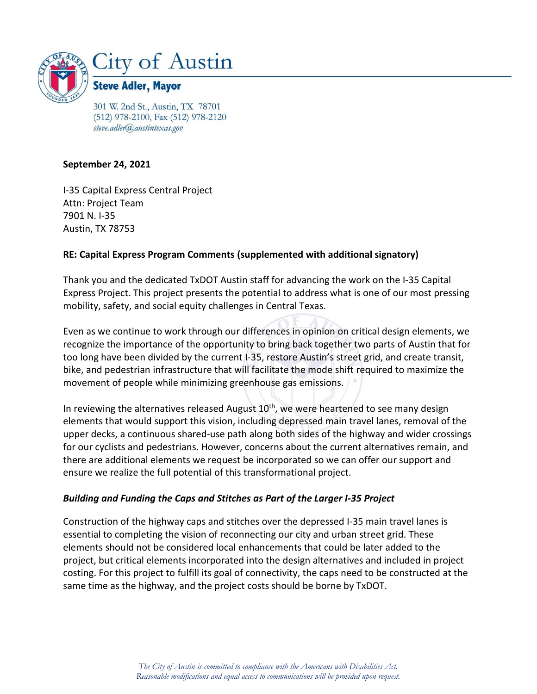

301 W. 2nd St., Austin, TX 78701 (512) 978-2100, Fax (512) 978-2120 steve.adler@austintexas.gov

### **September 24, 2021**

I-35 Capital Express Central Project Attn: Project Team 7901 N. I-35 Austin, TX 78753

## **RE: Capital Express Program Comments (supplemented with additional signatory)**

Thank you and the dedicated TxDOT Austin staff for advancing the work on the I-35 Capital Express Project. This project presents the potential to address what is one of our most pressing mobility, safety, and social equity challenges in Central Texas.

Even as we continue to work through our differences in opinion on critical design elements, we recognize the importance of the opportunity to bring back together two parts of Austin that for too long have been divided by the current I-35, restore Austin's street grid, and create transit, bike, and pedestrian infrastructure that will facilitate the mode shift required to maximize the movement of people while minimizing greenhouse gas emissions.

In reviewing the alternatives released August 10<sup>th</sup>, we were heartened to see many design elements that would support this vision, including depressed main travel lanes, removal of the upper decks, a continuous shared-use path along both sides of the highway and wider crossings for our cyclists and pedestrians. However, concerns about the current alternatives remain, and there are additional elements we request be incorporated so we can offer our support and ensure we realize the full potential of this transformational project.

#### *Building and Funding the Caps and Stitches as Part of the Larger I-35 Project*

Construction of the highway caps and stitches over the depressed I-35 main travel lanes is essential to completing the vision of reconnecting our city and urban street grid. These elements should not be considered local enhancements that could be later added to the project, but critical elements incorporated into the design alternatives and included in project costing. For this project to fulfill its goal of connectivity, the caps need to be constructed at the same time as the highway, and the project costs should be borne by TxDOT.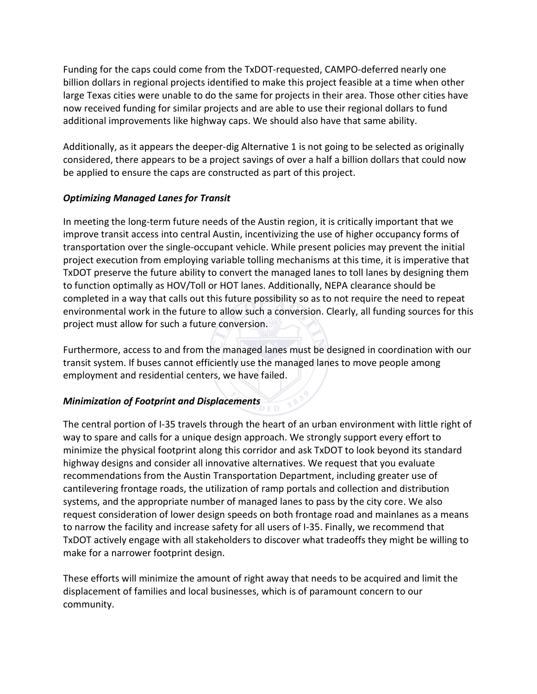Funding for the caps could come from the TxDOT-requested, CAMPO-deferred nearly one billion dollars in regional projects identified to make this project feasible at a time when other large Texas cities were unable to do the same for projects in their area. Those other cities have now received funding for similar projects and are able to use their regional dollars to fund additional improvements like highway caps. We should also have that same ability.

Additionally, as it appears the deeper-dig Alternative 1 is not going to be selected as originally considered, there appears to be a project savings of over a half a billion dollars that could now be applied to ensure the caps are constructed as part of this project.

# *Optimizing Managed Lanes for Transit*

In meeting the long-term future needs of the Austin region, it is critically important that we improve transit access into central Austin, incentivizing the use of higher occupancy forms of transportation over the single-occupant vehicle. While present policies may prevent the initial project execution from employing variable tolling mechanisms at this time, it is imperative that TxDOT preserve the future ability to convert the managed lanes to toll lanes by designing them to function optimally as HOV/Toll or HOT lanes. Additionally, NEPA clearance should be completed in a way that calls out this future possibility so as to not require the need to repeat environmental work in the future to allow such a conversion. Clearly, all funding sources for this project must allow for such a future conversion.

Furthermore, access to and from the managed lanes must be designed in coordination with our transit system. If buses cannot efficiently use the managed lanes to move people among employment and residential centers, we have failed.

# *Minimization of Footprint and Displacements*

The central portion of I-35 travels through the heart of an urban environment with little right of way to spare and calls for a unique design approach. We strongly support every effort to minimize the physical footprint along this corridor and ask TxDOT to look beyond its standard highway designs and consider all innovative alternatives. We request that you evaluate recommendations from the Austin Transportation Department, including greater use of cantilevering frontage roads, the utilization of ramp portals and collection and distribution systems, and the appropriate number of managed lanes to pass by the city core. We also request consideration of lower design speeds on both frontage road and mainlanes as a means to narrow the facility and increase safety for all users of I-35. Finally, we recommend that TxDOT actively engage with all stakeholders to discover what tradeoffs they might be willing to make for a narrower footprint design.

These efforts will minimize the amount of right away that needs to be acquired and limit the displacement of families and local businesses, which is of paramount concern to our community.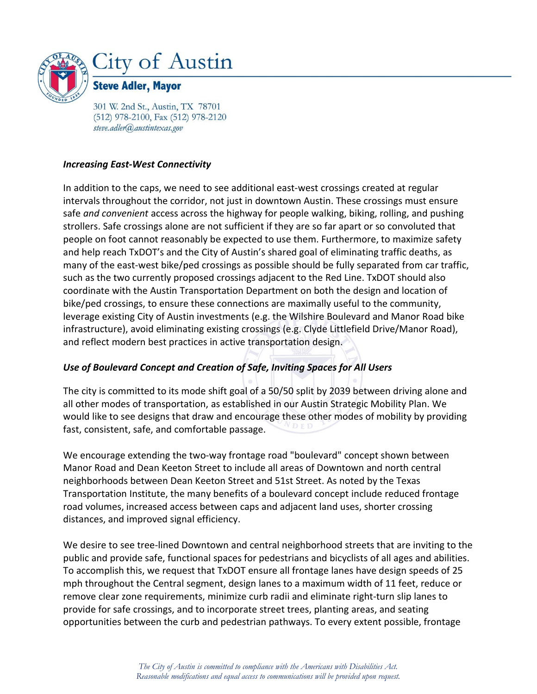

301 W. 2nd St., Austin, TX 78701 (512) 978-2100, Fax (512) 978-2120 steve.adler@austintexas.gov

#### *Increasing East-West Connectivity*

In addition to the caps, we need to see additional east-west crossings created at regular intervals throughout the corridor, not just in downtown Austin. These crossings must ensure safe *and convenient* access across the highway for people walking, biking, rolling, and pushing strollers. Safe crossings alone are not sufficient if they are so far apart or so convoluted that people on foot cannot reasonably be expected to use them. Furthermore, to maximize safety and help reach TxDOT's and the City of Austin's shared goal of eliminating traffic deaths, as many of the east-west bike/ped crossings as possible should be fully separated from car traffic, such as the two currently proposed crossings adjacent to the Red Line. TxDOT should also coordinate with the Austin Transportation Department on both the design and location of bike/ped crossings, to ensure these connections are maximally useful to the community, leverage existing City of Austin investments (e.g. the Wilshire Boulevard and Manor Road bike infrastructure), avoid eliminating existing crossings (e.g. Clyde Littlefield Drive/Manor Road), and reflect modern best practices in active transportation design.

# *Use of Boulevard Concept and Creation of Safe, Inviting Spaces for All Users*

The city is committed to its mode shift goal of a 50/50 split by 2039 between driving alone and all other modes of transportation, as established in our Austin Strategic Mobility Plan. We would like to see designs that draw and encourage these other modes of mobility by providing fast, consistent, safe, and comfortable passage.

We encourage extending the two-way frontage road "boulevard" concept shown between Manor Road and Dean Keeton Street to include all areas of Downtown and north central neighborhoods between Dean Keeton Street and 51st Street. As noted by the Texas Transportation Institute, the many benefits of a boulevard concept include reduced frontage road volumes, increased access between caps and adjacent land uses, shorter crossing distances, and improved signal efficiency.

We desire to see tree-lined Downtown and central neighborhood streets that are inviting to the public and provide safe, functional spaces for pedestrians and bicyclists of all ages and abilities. To accomplish this, we request that TxDOT ensure all frontage lanes have design speeds of 25 mph throughout the Central segment, design lanes to a maximum width of 11 feet, reduce or remove clear zone requirements, minimize curb radii and eliminate right-turn slip lanes to provide for safe crossings, and to incorporate street trees, planting areas, and seating opportunities between the curb and pedestrian pathways. To every extent possible, frontage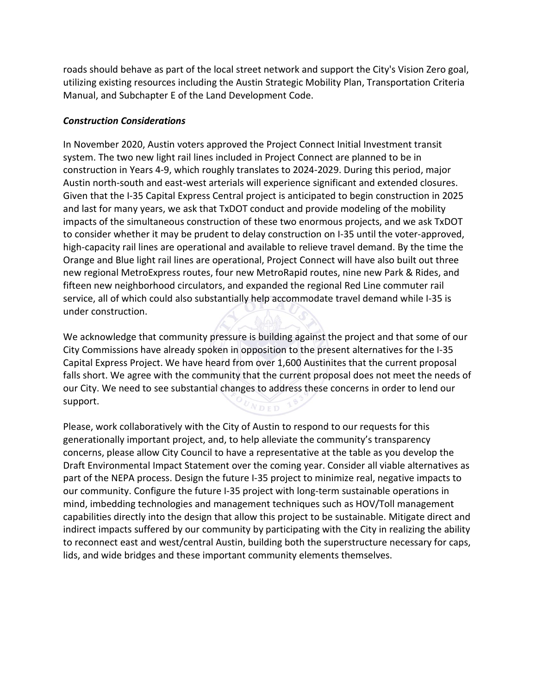roads should behave as part of the local street network and support the City's Vision Zero goal, utilizing existing resources including the Austin Strategic Mobility Plan, Transportation Criteria Manual, and Subchapter E of the Land Development Code.

### *Construction Considerations*

In November 2020, Austin voters approved the Project Connect Initial Investment transit system. The two new light rail lines included in Project Connect are planned to be in construction in Years 4-9, which roughly translates to 2024-2029. During this period, major Austin north-south and east-west arterials will experience significant and extended closures. Given that the I-35 Capital Express Central project is anticipated to begin construction in 2025 and last for many years, we ask that TxDOT conduct and provide modeling of the mobility impacts of the simultaneous construction of these two enormous projects, and we ask TxDOT to consider whether it may be prudent to delay construction on I-35 until the voter-approved, high-capacity rail lines are operational and available to relieve travel demand. By the time the Orange and Blue light rail lines are operational, Project Connect will have also built out three new regional MetroExpress routes, four new MetroRapid routes, nine new Park & Rides, and fifteen new neighborhood circulators, and expanded the regional Red Line commuter rail service, all of which could also substantially help accommodate travel demand while I-35 is under construction.

We acknowledge that community pressure is building against the project and that some of our City Commissions have already spoken in opposition to the present alternatives for the I-35 Capital Express Project. We have heard from over 1,600 Austinites that the current proposal falls short. We agree with the community that the current proposal does not meet the needs of our City. We need to see substantial changes to address these concerns in order to lend our support. NDED

Please, work collaboratively with the City of Austin to respond to our requests for this generationally important project, and, to help alleviate the community's transparency concerns, please allow City Council to have a representative at the table as you develop the Draft Environmental Impact Statement over the coming year. Consider all viable alternatives as part of the NEPA process. Design the future I-35 project to minimize real, negative impacts to our community. Configure the future I-35 project with long-term sustainable operations in mind, imbedding technologies and management techniques such as HOV/Toll management capabilities directly into the design that allow this project to be sustainable. Mitigate direct and indirect impacts suffered by our community by participating with the City in realizing the ability to reconnect east and west/central Austin, building both the superstructure necessary for caps, lids, and wide bridges and these important community elements themselves.